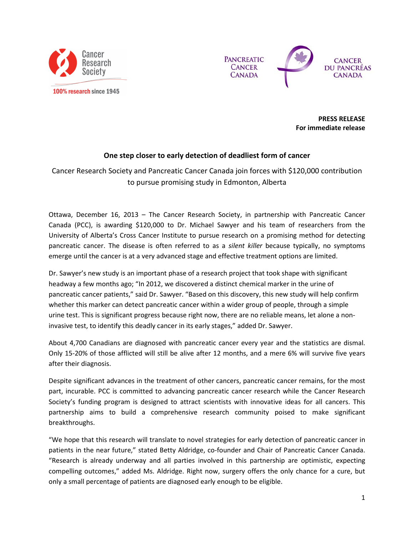



**PRESS RELEASE** For immediate release

## One step closer to early detection of deadliest form of cancer

Cancer Research Society and Pancreatic Cancer Canada join forces with \$120,000 contribution to pursue promising study in Edmonton, Alberta

Ottawa, December 16, 2013 - The Cancer Research Society, in partnership with Pancreatic Cancer Canada (PCC), is awarding \$120,000 to Dr. Michael Sawyer and his team of researchers from the University of Alberta's Cross Cancer Institute to pursue research on a promising method for detecting pancreatic cancer. The disease is often referred to as a silent killer because typically, no symptoms emerge until the cancer is at a very advanced stage and effective treatment options are limited.

Dr. Sawyer's new study is an important phase of a research project that took shape with significant headway a few months ago; "In 2012, we discovered a distinct chemical marker in the urine of pancreatic cancer patients," said Dr. Sawyer. "Based on this discovery, this new study will help confirm whether this marker can detect pancreatic cancer within a wider group of people, through a simple urine test. This is significant progress because right now, there are no reliable means, let alone a noninvasive test, to identify this deadly cancer in its early stages," added Dr. Sawyer.

About 4,700 Canadians are diagnosed with pancreatic cancer every year and the statistics are dismal. Only 15-20% of those afflicted will still be alive after 12 months, and a mere 6% will survive five years after their diagnosis.

Despite significant advances in the treatment of other cancers, pancreatic cancer remains, for the most part, incurable. PCC is committed to advancing pancreatic cancer research while the Cancer Research Society's funding program is designed to attract scientists with innovative ideas for all cancers. This partnership aims to build a comprehensive research community poised to make significant breakthroughs.

"We hope that this research will translate to novel strategies for early detection of pancreatic cancer in patients in the near future," stated Betty Aldridge, co-founder and Chair of Pancreatic Cancer Canada. "Research is already underway and all parties involved in this partnership are optimistic, expecting compelling outcomes," added Ms. Aldridge. Right now, surgery offers the only chance for a cure, but only a small percentage of patients are diagnosed early enough to be eligible.